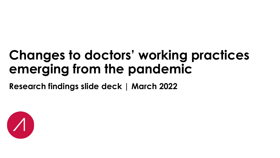## **Changes to doctors' working practices emerging from the pandemic**

**Research findings slide deck | March 2022**

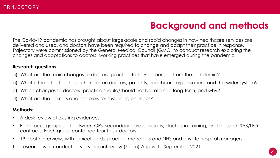### **Background and methods**

The Covid-19 pandemic has brought about large-scale and rapid changes in how healthcare services are delivered and used, and doctors have been required to change and adapt their practice in response. Trajectory were commissioned by the General Medical Council (GMC) to conduct research exploring the changes and adaptations to doctors' working practices that have emerged during the pandemic.

### **Research questions:**

- What are the main changes to doctors' practice to have emerged from the pandemic?
- b) What is the effect of these changes on doctors, patients, healthcare organisations and the wider system?
- c) Which changes to doctors' practice should/should not be retained long-term, and why?
- d) What are the barriers and enablers for sustaining changes?

### **Methods:**

- A desk review of existing evidence.
- Eight focus groups split between GPs, secondary care clinicians, doctors in training, and those on SAS/LED contracts. Each group contained four to six doctors.
- 19 depth interviews with clinical leads, practice managers and NHS and private hospital managers.

The research was conducted via video interview (Zoom) August to September 2021.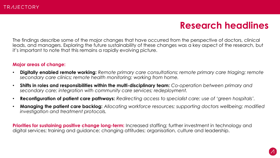### **Research headlines**

The findings describe some of the major changes that have occurred from the perspective of doctors, clinical leads, and managers. Exploring the future sustainability of these changes was a key aspect of the research, but it's important to note that this remains a rapidly evolving picture.

#### **Major areas of change:**

- **Digitally enabled remote working:** *Remote primary care consultations; remote primary care triaging; remote secondary care clinics; remote health monitoring; working from home.*
- **Shifts in roles and responsibilities within the multi-disciplinary team:** *Co-operation between primary and secondary care; integration with community care services; redeployment.*
- **Reconfiguration of patient care pathways:** *Redirecting access to specialist care; use of 'green hospitals'.*
- **Managing the patient care backlog:** *Allocating workforce resources; supporting doctors wellbeing; modified investigation and treatment protocols.*

**Priorities for sustaining positive change long-term:** Increased staffing; further investment in technology and digital services; training and guidance; changing attitudes; organisation, culture and leadership.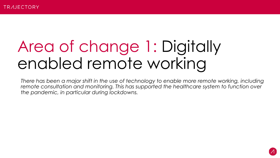## Area of change 1: Digitally enabled remote working

*There has been a major shift in the use of technology to enable more remote working, including remote consultation and monitoring. This has supported the healthcare system to function over the pandemic, in particular during lockdowns.*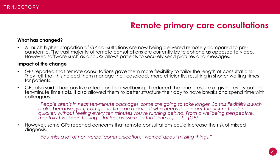### **Remote primary care consultations**

### **What has changed?**

• A much higher proportion of GP consultations are now being delivered remotely compared to prepandemic. The vast majority of remote consultations are currently by telephone as opposed to video. However, software such as accuRx allows patients to securely send pictures and messages.

#### **Impact of the change**

- GPs reported that remote consultations gave them more flexibility to tailor the length of consultations. They felt that this helped them manage their caseloads more efficiently, resulting in shorter waiting times for patients.
- GPs also said it had positive effects on their wellbeing. It reduced the time pressure of giving every patient ten-minute time slots. It also allowed them to better structure their day to have breaks and spend time with colleagues.

*"People aren't in neat ten-minute packages, some are going to take longer. So this flexibility is such a plus because [you] can spend time on a patient who needs it, can get the sick notes done quicker, without feeling every ten minutes you're running behind. From a wellbeing perspective, mentally I've been feeling a lot less pressure on that time aspect." (GP)*

• However, some GPs reported concerns that remote consultations could increase the risk of missed diagnosis.

*"You miss a lot of non-verbal communication. I worried about missing things."*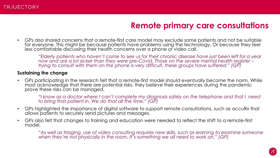### **Remote primary care consultations**

• GPs also shared concerns that a remote-first care model may exclude some patients and not be suitable for everyone. This might be because patients have problems using the technology. Or because they feel less comfortable discussing their health concerns over a phone or video call.

*"Elderly patients who haven't come to see us for their chronic disease have just been left for a year now and are a lot sicker than they were pre-Covid. Those on the severe mental health register – trying to consult with them on the phone is very difficult, these groups have suffered." (GP)*

#### **Sustaining the change**

• GPs participating in the research felt that a remote-first model should eventually become the norm. While most acknowledge that there are potential risks, they believe their experiences during the pandemic prove these risks can be managed.

"I know as a doctor where I can't complete my diagnosis safely on the telephone and that I need *to bring that patient in. We do that all the time." (GP)*

- GPs highlighted the importance of digital software to support remote consultations, such as accuRx that allows patients to securely send pictures and messages.
- GPs also felt that changes to training and education were needed to reflect the shift to a remote-first model.

*"As well as triaging, use of video consulting requires new skills, such as learning to examine someone when they're not physically in the room. It's something we all need to work on." (GP)*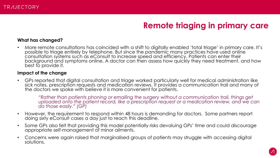### **Remote triaging in primary care**

### **What has changed?**

• More remote consultations has coincided with a shift to digitally enabled 'total triage' in primary care. It's possible to triage entirely by telephone. But since the pandemic many practices have used online consultation systems such as eConsult to increase speed and efficiency. Patients can enter their background and symptoms online. A doctor can then assess how quickly they need treatment, and how best to provide it.

#### **Impact of the change**

• GPs reported that digital consultation and triage worked particularly well for medical administration like sick notes, prescription requests and medication reviews. It provides a communication trail and many of the doctors we spoke with believe it is more convenient for patients.

*"Rather than patients phoning or emailing the surgery without a communication trail, things get*  uploaded onto the patient record, like a prescription request or a medication review, and we can *do those easily." (GP)*

- However, the requirement to respond within 48 hours is demanding for doctors. Some partners report doing sixty eConsult cases a day just to reach this deadline.
- Some GPs also felt that providing this model potentially risks devaluing GPs' time and could discourage appropriate self-management of minor ailments.
- Concerns were again raised that marginalised groups of patients may struggle with accessing digital solutions.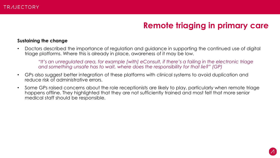### **Remote triaging in primary care**

### **Sustaining the change**

• Doctors described the importance of regulation and guidance in supporting the continued use of digital triage platforms. Where this is already in place, awareness of it may be low.

*"It's an unregulated area, for example [with] eConsult, if there's a failing in the electronic triage and something unsafe has to wait, where does the responsibility for that lie?" (GP)*

- GPs also suggest better integration of these platforms with clinical systems to avoid duplication and reduce risk of administrative errors.
- Some GPs raised concerns about the role receptionists are likely to play, particularly when remote triage happens offline. They highlighted that they are not sufficiently trained and most felt that more senior medical staff should be responsible.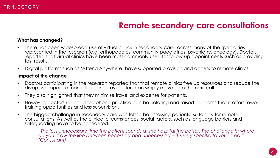### **Remote secondary care consultations**

#### **What has changed?**

- There has been widespread use of virtual clinics in secondary care, across many of the specialties represented in the research (e.g. orthopaedics, community paediatrics, psychiatry, oncology). Doctors reported that virtual clinics have been most commonly used for follow-up appointments such as providing test results.
- Digital platforms such as 'Attend Anywhere' have supported provision and access to remote clinics.

#### **Impact of the change**

- Doctors participating in the research reported that that remote clinics free up resources and reduce the disruptive impact of non-attendance as doctors can simply move onto the next call.
- They also highlighted that they minimise travel and expense for patients.
- However, doctors reported telephone practice can be isolating and raised concerns that it offers fewer training opportunities and less supervision.
- The biggest challenge in secondary care was felt to be assessing patients' suitability for remote consultations. As well as the clinical circumstances, social factors, such as language barriers and safeguarding have to be considered.

*"The less unnecessary time the patient spends at the hospital the better. The challenge is: where* do you draw the line between necessary and unnecessary – it's very specific to your area." *(Consultant)*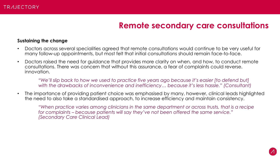### **Remote secondary care consultations**

### **Sustaining the change**

- Doctors across several specialities agreed that remote consultations would continue to be very useful for many follow-up appointments, but most felt that initial consultations should remain face-to-face.
- Doctors raised the need for guidance that provides more clarity on when, and how, to conduct remote consultations. There was concern that without this assurance, a fear of complaints could reverse. innovation.

*"We'll slip back to how we used to practice five years ago because it's easier [to defend but] with the drawbacks of inconvenience and inefficiency… because it's less hassle." (Consultant)*

• The importance of providing patient choice was emphasised by many, however, clinical leads highlighted the need to also take a standardised approach, to increase efficiency and maintain consistency.

*"When practice varies among clinicians in the same department or across trusts, that is a recipe for complaints – because patients will say they've not been offered the same service." (Secondary Care Clinical Lead)*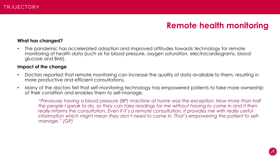### **Remote health monitoring**

### **What has changed?**

• The pandemic has accelerated adoption and improved attitudes towards technology for remote monitoring of health data (such as for blood pressure, oxygen saturation, electrocardiograms, blood glucose and BMI).

#### **Impact of the change**

- Doctors reported that remote monitoring can increase the quality of data available to them, resulting in more productive and efficient consultations.
- Many of the doctors felt that self-monitoring technology has empowered patients to take more ownership of their condition and enables them to self-manage.

*"Previously having a blood pressure (BP) machine at home was the exception. Now more than half*  the people I speak to do, so they can take readings for me without having to come in and it then *really informs the consultation. Even if it's a remote consultation, it provides me with really useful information which might mean they don't need to come in. That's empowering the patient to selfmanage." (GP)*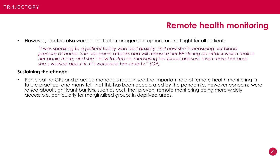### **Remote health monitoring**

• However, doctors also warned that self-management options are not right for all patients

*"I was speaking to a patient today who had anxiety and now she's measuring her blood pressure at home. She has panic attacks and will measure her BP during an attack which makes her panic more, and she's now fixated on measuring her blood pressure even more because she's worried about it. It's worsened her anxiety." (GP)*

### **Sustaining the change**

• Participating GPs and practice managers recognised the important role of remote health monitoring in future practice, and many felt that this has been accelerated by the pandemic. However concerns were raised about significant barriers, such as cost, that prevent remote monitoring being more widely accessible, particularly for marginalised groups in deprived areas.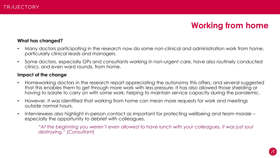### **Working from home**

### **What has changed?**

- Many doctors participating in the research now do some non-clinical and administration work from home, particularly clinical leads and managers.
- Some doctors, especially GPs and consultants working in non-urgent care, have also routinely conducted clinics, and even ward rounds, from home.

#### **Impact of the change**

- Homeworking doctors in the research report appreciating the autonomy this offers, and several suggested that this enables them to get through more work with less pressure. It has also allowed those shielding or having to isolate to carry on with some work, helping to maintain service capacity during the pandemic.
- However, it was identified that working from home can mean more requests for work and meetings outside normal hours.
- Interviewees also highlight in-person contact as important for protecting wellbeing and team morale especially the opportunity to debrief with colleagues.

*"At the beginning you weren't even allowed to have lunch with your colleagues, it was just soul destroying." (Consultant)*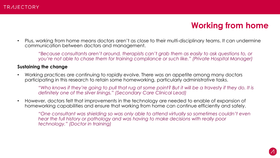### **Working from home**

• Plus, working from home means doctors aren't as close to their multi-disciplinary teams. It can undermine communication between doctors and management.

*"Because consultants aren't around, therapists can't grab them as easily to ask questions to, or you're not able to chase them for training compliance or such like." (Private Hospital Manager)*

### **Sustaining the change**

• Working practices are continuing to rapidly evolve. There was an appetite among many doctors participating in this research to retain some homeworking, particularly administrative tasks.

*"Who knows if they're going to pull that rug at some point? But it will be a travesty if they do. It is definitely one of the silver linings." (Secondary Care Clinical Lead)*

• However, doctors felt that improvements in the technology are needed to enable of expansion of homeworking capabilities and ensure that working from home can continue efficiently and safely.

*"One consultant was shielding so was only able to attend virtually so sometimes couldn't even hear the full history or pathology and was having to make decisions with really poor technology." (Doctor in training)*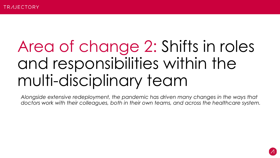## Area of change 2: Shifts in roles and responsibilities within the multi-disciplinary team

*Alongside extensive redeployment, the pandemic has driven many changes in the ways that doctors work with their colleagues, both in their own teams, and across the healthcare system.*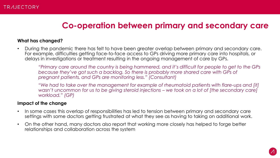### **Co-operation between primary and secondary care**

### **What has changed?**

• During the pandemic there has felt to have been greater overlap between primary and secondary care. For example, difficulties getting face-to-face access to GPs driving more primary care into hospitals, or delays in investigations or treatment resulting in the ongoing management of care by GPs.

*"Primary care around the country is being hammered, and it's difficult for people to get to the GPs because they've got such a backlog. So there is probably more shared care with GPs of pregnant patients, and GPs are monitoring less." (Consultant)*

"*We had to take over the management for example of rheumatoid patients with flare-ups and [it] wasn't uncommon for us to be giving steroid injections – we took on a lot of [the secondary care] workload." (GP)*

#### **Impact of the change**

- In some cases this overlap of responsibilities has led to tension between primary and secondary care settings with some doctors getting frustrated at what they see as having to taking on additional work.
- On the other hand, many doctors also report that working more closely has helped to forge better relationships and collaboration across the system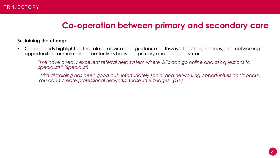### **Co-operation between primary and secondary care**

### **Sustaining the change**

• Clinical leads highlighted the role of advice and guidance pathways, teaching sessions, and networking opportunities for maintaining better links between primary and secondary care.

*"We have a really excellent referral help system where GPs can go online and ask questions to specialists" (Specialist)*

*"Virtual training has been good but unfortunately social and networking opportunities can't occur. You can't create professional networks, those little bridges" (GP)*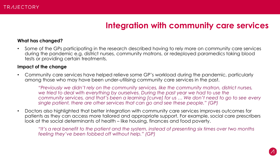### **Integration with community care services**

#### **What has changed?**

• Some of the GPs participating in the research described having to rely more on community care services during the pandemic e.g. district nurses, community matrons, or redeployed paramedics taking blood tests or providing certain treatments.

#### **Impact of the change**

• Community care services have helped relieve some GP's workload during the pandemic, particularly among those who may have been under-utilising community care services in the past.

*"Previously we didn't rely on the community services, like the community matron, district nurses, we tried to deal with everything by ourselves. During the past year we had to use the community services, and that's been a learning [curve] for us … We don't need to go to see every single patient, there are other services that can go and see these people." (GP)*

• Doctors also highlighted that better integration with community care services improves outcomes for patients as they can access more tailored and appropriate support. For example, social care prescribers look at the social determinants of health – like housing, finances and food poverty.

*"It's a real benefit to the patient and the system, instead of presenting six times over two months feeling they've been fobbed off without help." (GP)*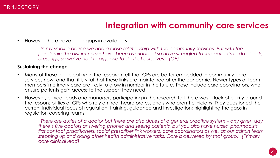### **Integration with community care services**

• However there have been gaps in availability.

*"In my small practice we had a close relationship with the community services. But with the pandemic the district nurses have been overloaded so have struggled to see patients to do bloods, dressings, so we've had to organise to do that ourselves." (GP)*

### **Sustaining the change**

- Many of those participating in the research felt that GPs are better embedded in community care services now, and that it is vital that these links are maintained after the pandemic. Newer types of team members in primary care are likely to grow in number in the future. These include care coordinators, who ensure patients gain access to the support they need.
- However, clinical leads and managers participating in the research felt there was a lack of clarity around the responsibilities of GPs who rely on healthcare professionals who aren't clinicians. They questioned the current individual focus of regulation, training, guidance and investigation; highlighting the gaps in regulation covering teams.

*"There are duties of a doctor but there are also duties of a general practice system – any given day there's five doctors answering phones and seeing patients, but you also have nurses, pharmacists, first contact practitioners, social prescriber link workers, care coordinators as well as our admin team stepping up and doing other health administrative tasks. Care is delivered by that group." (Primary care clinical lead)*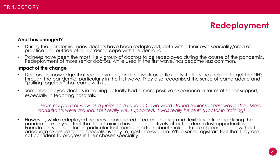### **Redeployment**

### **What has changed?**

- During the pandemic many doctors have been redeployed, both within their own speciality/area of practice and outside of it, in order to cope with the demand.
- Trainees have been the most likely group of doctors to be redeployed during the course of the pandemic. Redeployment of more senior doctors, while used in the first wave, has become less common.

#### **Impact of the change**

- Doctors acknowledge that redeployment, and the workforce flexibility it offers, has helped to get the NHS through the pandemic, particularly in the first wave. They also recognised the sense of camaraderie and "pulling together" that came with it.
- Some redeployed doctors in training actually had a more positive experience in terms of senior support, especially in teaching hospitals.

*"From my point of view as a junior on a London Covid ward I found senior support was better. More consultants were around. I felt really well supported, it was really helpful" (Doctor in Training)*

• However, while redeployed trainees appreciated greater leniency and flexibility in training during the pandemic, many still feel that their training has been negatively affected due to lost opportunities. Foundation year doctors in particular feel more uncertain about making future career choices without adequate exposure to the specialisms they're most interested in. While some registrars feel that they are not confident to progress in their chosen speciality.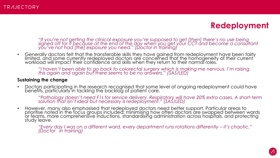### **Redeployment**

*"If you're not getting the clinical exposure you're supposed to get [then] there's no use being signed off for it because at the end of the day when you get your CCT and become a consultant you've not had [the] exposure you need." (Doctor in training)*

• Generally doctors felt that the transferable skills they have gained from redeployment have been fairly limited, and some currently redeployed doctors are concerned that the homogeneity of their current ' workload will impact their confidence and skills when they return to their normal roles.

*"I haven't been able to go back to colorectal surgery which is making me nervous. I'm raising this again and again but there seems to be no answers." (SAS/LED)*

### **Sustaining the change**

• Doctors participating in the research recognised that some level of ongoing redeployment could have benefits, particularly in tackling the backlog of patient care.

*"Pathology doesn't need F1s for service delivery. Respiratory will have 20% extra cases. A short-term solution that isn't ideal but necessary is redeployment." (SAS/LED)*

• However, many also emphasised that redeployed doctors need better support. Particular areas to prioritise noted in the focus groups included: minimising how often doctors are swapped between wards or teams, more comprehensive inductions, standardising administration across hospitals, and protecting study leave.

*"Every day I was on a different ward, every department runs rotations differently – it's chaotic." (Doctor in training)*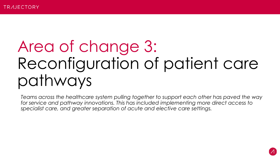## Area of change 3: Reconfiguration of patient care pathways

*Teams across the healthcare system pulling together to support each other has paved the way for service and pathway innovations. This has included implementing more direct access to specialist care, and greater separation of acute and elective care settings.*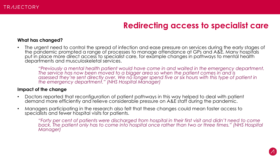### **Redirecting access to specialist care**

#### **What has changed?**

• The urgent need to control the spread of infection and ease pressure on services during the early stages of the pandemic prompted a range of processes to manage attendance at GPs and A&E. Many hospitals put in place more direct access to specialist care, for example changes in pathways to mental health departments and musculoskeletal services.

*"Previously a mental health patient would have come in and waited in the emergency department. The service has now been moved to a bigger area so when the patient comes in and is assessed they're sent directly over. We no longer spend five or six hours with this type of patient in the emergency department." (NHS Hospital Manager)*

#### **Impact of the change**

- Doctors reported that reconfiguration of patient pathways in this way helped to deal with patient demand more efficiently and relieve considerable pressure on A&E staff during the pandemic.
- Managers participating in the research also felt that these changes could mean faster access to specialists and fewer hospital visits for patients.

*"Forty per cent of patients were discharged from hospital in their first visit and didn't need to come back. The patient only has to come into hospital once rather than two or three times." (NHS Hospital Manager)*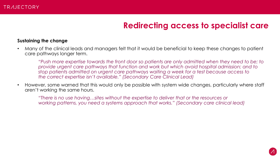### **Redirecting access to specialist care**

#### **Sustaining the change**

• Many of the clinical leads and managers felt that it would be beneficial to keep these changes to patient care pathways longer term.

*"Push more expertise towards the front door so patients are only admitted when they need to be; to provide urgent care pathways that function and work but which avoid hospital admission; and to stop patients admitted on urgent care pathways waiting a week for a test because access to the correct expertise isn't available." (Secondary Care Clinical Lead)*

• However, some warned that this would only be possible with system wide changes, particularly where staff aren't working the same hours.

*"There is no use having…sites without the expertise to deliver that or the resources or working patterns, you need a systems approach that works." (Secondary care clinical lead)*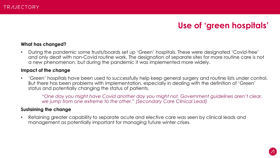### **Use of 'green hospitals'**

### **What has changed?**

• During the pandemic some trusts/boards set up 'Green' hospitals. These were designated 'Covid-free' and only dealt with non-Covid routine work. The designation of separate sites for more routine care is not a new phenomenon, but during the pandemic it was implemented more widely.

#### **Impact of the change**

• 'Green' hospitals have been used to successfully help keep general surgery and routine lists under control. But there has been problems with implementation, especially in dealing with the definition of 'Green' status and potentially changing the status of patients.

*"One day you might have Covid another day you might not. Government guidelines aren't clear, we jump from one extreme to the other." (Secondary Care Clinical Lead)* 

### **Sustaining the change**

• Retaining greater capability to separate acute and elective care was seen by clinical leads and management as potentially important for managing future winter crises.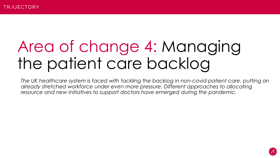## Area of change 4: Managing the patient care backlog

*The UK healthcare system is faced with tackling the backlog in non-covid patient care, putting an already stretched workforce under even more pressure. Different approaches to allocating resource and new initiatives to support doctors have emerged during the pandemic.*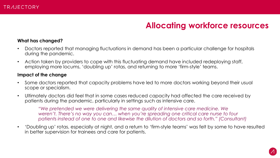### **Allocating workforce resources**

### **What has changed?**

- Doctors reported that managing fluctuations in demand has been a particular challenge for hospitals during the pandemic.
- Action taken by providers to cope with this fluctuating demand have included redeploying staff, employing more locums, 'doubling up' rotas, and returning to more 'firm-style' teams.

### **Impact of the change**

- Some doctors reported that capacity problems have led to more doctors working beyond their usual scope or specialism.
- Ultimately doctors did feel that in some cases reduced capacity had affected the care received by patients during the pandemic, particularly in settings such as intensive care.

*"We pretended we were delivering the same quality of intensive care medicine. We weren't. There's no way you can… when you're spreading one critical care nurse to four patients instead of one to one and likewise the dilution of doctors and so forth." (Consultant)* 

• 'Doubling up' rotas, especially at night, and a return to 'firm-style teams' was felt by some to have resulted in better supervision for trainees and care for patients.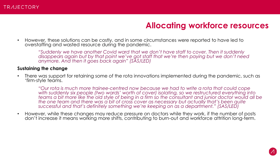### **Allocating workforce resources**

• However, these solutions can be costly, and in some circumstances were reported to have led to overstaffing and wasted resource during the pandemic.

*"Suddenly we have another Covid ward that we don't have staff to cover. Then it suddenly*  disappears again but by that point we've got staff that we're then paying but we don't need *anymore. And then it goes back again" (SAS/LED)*

### **Sustaining the change**

• There was support for retaining some of the rota innovations implemented during the pandemic, such as 'firm-style teams.

*"Our rota is much more trainee-centred now because we had to write a rota that could cope with suddenly six people (two wards' worth of cover) isolating, so we restructured everything into teams a bit more like the old style of being in a firm so the consultant and junior doctor would all be the one team and there was a bit of cross cover as necessary but actually that's been quite successful and that's definitely something we're keeping on as a department." (SAS/LED)*

• However, while these changes may reduce pressure on doctors while they work, if the number of posts don't increase it means working more shifts, contributing to burn-out and workforce attrition long-term.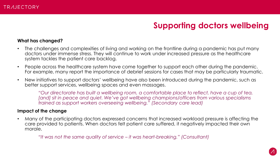### **Supporting doctors wellbeing**

#### **What has changed?**

- The challenges and complexities of living and working on the frontline during a pandemic has put many doctors under immense stress. They will continue to work under increased pressure as the healthcare system tackles the patient care backlog.
- People across the healthcare system have come together to support each other during the pandemic. For example, many report the importance of debrief sessions for cases that may be particularly traumatic.
- New initiatives to support doctors' wellbeing have also been introduced during the pandemic, such as better support services, wellbeing spaces and even massages.

*"Our directorate has built a wellbeing room, a comfortable place to reflect, have a cup of tea,*  [and] sit in peace and quiet. We've got wellbeing champions/officers from various specialisms *trained as support workers overseeing wellbeing." (Secondary care lead)*

#### **Impact of the change**

• Many of the participating doctors expressed concerns that increased workload pressure is affecting the care provided to patients. When doctors felt patient care suffered, it negatively impacted their own morale.

*"It was not the same quality of service – it was heart-breaking." (Consultant)*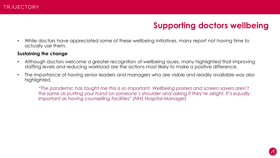### **Supporting doctors wellbeing**

• While doctors have appreciated some of these wellbeing initiatives, many report not having time to actually use them.

#### **Sustaining the change**

- Although doctors welcome a greater recognition of wellbeing issues, many highlighted that improving staffing levels and reducing workload are the actions most likely to make a positive difference.
- The importance of having senior leaders and managers who are visible and readily available was also highlighted.

*"The pandemic has taught me this is so important. Wellbeing posters and screen savers aren't the same as putting your hand on someone's shoulder and asking if they're alright. It's equally important as having counselling facilities" (NHS Hospital Manager)*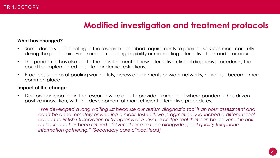### **Modified investigation and treatment protocols**

### **What has changed?**

- Some doctors participating in the research described requirements to prioritise services more carefully during the pandemic. For example, reducing eligibility or mandating alternative tests and procedures.
- The pandemic has also led to the development of new alternative clinical diagnosis procedures, that could be implemented despite pandemic restrictions.
- Practices such as of pooling waiting lists, across departments or wider networks, have also become more common place.

#### **Impact of the change**

• Doctors participating in the research were able to provide examples of where pandemic has driven positive innovation, with the development of more efficient alternative procedures.

*"We developed a long waiting list because our autism diagnostic tool is an hour assessment and can't be done remotely or wearing a mask. Instead, we pragmatically launched a different tool called the British Observation of Symptoms of Autism, a bridge tool that can be delivered in half*  an hour, and has been ratified, delivered face to face alongside good quality telephone *information gathering." (Secondary care clinical lead)*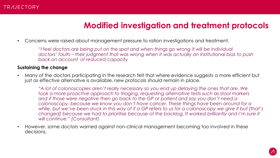### **Modified investigation and treatment protocols**

• Concerns were raised about management pressure to ration investigations and treatment.

*"I feel doctors are being put on the spot and when things go wrong it will be individual doctors' faults – their judgment that was wrong when it was actually an institutional bias to push back on account of reduced capacity*

### **Sustaining the change**

• Many of the doctors participating in the research felt that where evidence suggests a more efficient but just as effective alternative is available, new protocols should remain in place.

*"A lot of colonoscopies aren't really necessary so you end up delaying the ones that are. We took a more proactive approach to triaging, requesting alternative tests such as stool markers*  and if those were negative then go back to the GP or patient and say you don't need a *colonoscopy, because we know you don't have cancer. These things have been around for a while, but we've been stuck in this way of if a GP refers to us for a colonoscopy we give it but [that's changed] because we had to prioritise because of the backlog. It worked brilliantly and I'm sure it will continue." (Consultant)*

• However, some doctors warned against non-clinical management becoming too involved in these decisions.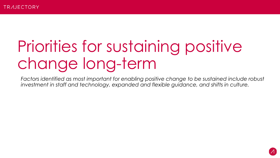# Priorities for sustaining positive change long-term

*Factors identified as most important for enabling positive change to be sustained include robust investment in staff and technology, expanded and flexible guidance, and shifts in culture.*